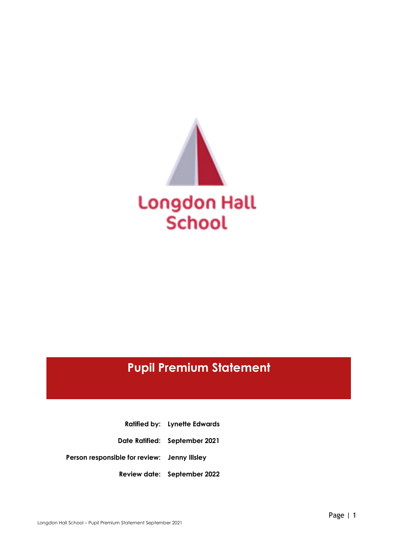

# **Pupil Premium Statement**

**Ratified by: Lynette Edwards Date Ratified: September 2021 Person responsible for review: Jenny Illsley Review date: September 2022**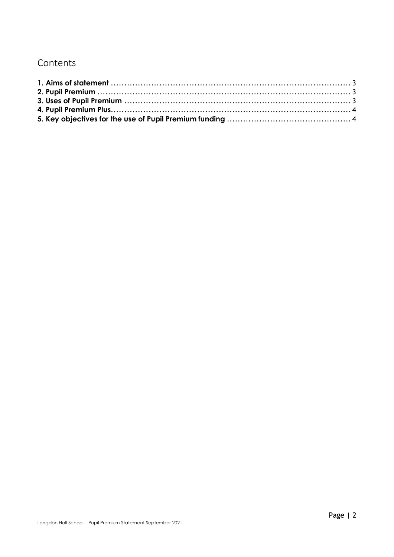# Contents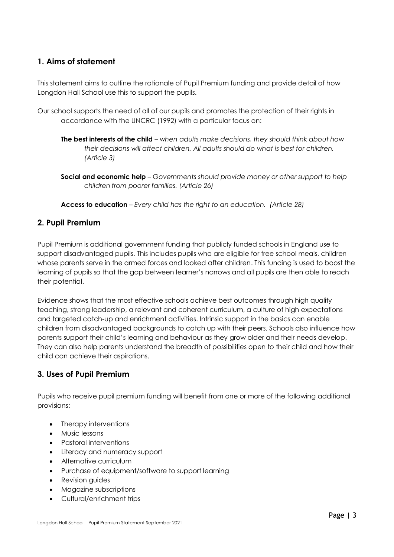## <span id="page-2-0"></span>**1. Aims of statement**

This statement aims to outline the rationale of Pupil Premium funding and provide detail of how Longdon Hall School use this to support the pupils.

- Our school supports the need of all of our pupils and promotes the protection of their rights in accordance with the UNCRC (1992) with a particular focus on:
	- **The best interests of the child** *when adults make decisions, they should think about how their decisions will affect children. All adults should do what is best for children. (Article 3)*
	- **Social and economic help** *Governments should provide money or other support to help children from poorer families. (Article 26)*

**Access to education** – *Every child has the right to an education. (Article 28)*

#### <span id="page-2-1"></span>**2. Pupil Premium**

Pupil Premium is additional government funding that publicly funded schools in England use to support disadvantaged pupils. This includes pupils who are eligible for free school meals, children whose parents serve in the armed forces and looked after children. This funding is used to boost the learning of pupils so that the gap between learner's narrows and all pupils are then able to reach their potential.

Evidence shows that the most effective schools achieve best outcomes through high quality teaching, strong leadership, a relevant and coherent curriculum, a culture of high expectations and targeted catch-up and enrichment activities. Intrinsic support in the basics can enable children from disadvantaged backgrounds to catch up with their peers. Schools also influence how parents support their child's learning and behaviour as they grow older and their needs develop. They can also help parents understand the breadth of possibilities open to their child and how their child can achieve their aspirations.

#### <span id="page-2-2"></span>**3. Uses of Pupil Premium**

Pupils who receive pupil premium funding will benefit from one or more of the following additional provisions:

- Therapy interventions
- Music lessons
- Pastoral interventions
- Literacy and numeracy support
- Alternative curriculum
- Purchase of equipment/software to support learning
- Revision guides
- Magazine subscriptions
- Cultural/enrichment trips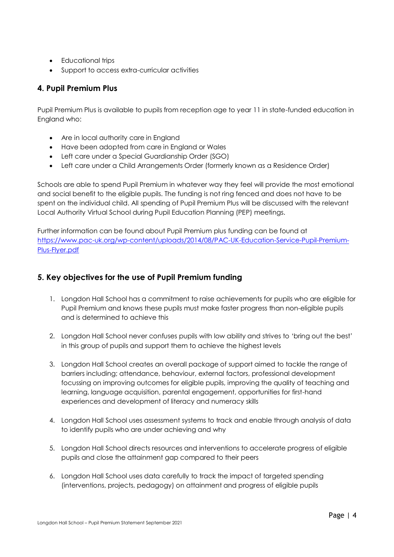- **•** Educational trips
- Support to access extra-curricular activities

## <span id="page-3-0"></span>**4. Pupil Premium Plus**

Pupil Premium Plus is available to pupils from reception age to year 11 in state-funded education in England who:

- Are in local authority care in England
- Have been adopted from care in England or Wales
- Left care under a Special Guardianship Order (SGO)
- Left care under a Child Arrangements Order (formerly known as a Residence Order)

Schools are able to spend Pupil Premium in whatever way they feel will provide the most emotional and social benefit to the eligible pupils. The funding is not ring fenced and does not have to be spent on the individual child. All spending of Pupil Premium Plus will be discussed with the relevant Local Authority Virtual School during Pupil Education Planning (PEP) meetings.

Further information can be found about Pupil Premium plus funding can be found at [https://www.pac-uk.org/wp-content/uploads/2014/08/PAC-UK-Education-Service-Pupil-Premium-](https://www.pac-uk.org/wp-content/uploads/2014/08/PAC-UK-Education-Service-Pupil-Premium-Plus-Flyer.pdf)[Plus-Flyer.pdf](https://www.pac-uk.org/wp-content/uploads/2014/08/PAC-UK-Education-Service-Pupil-Premium-Plus-Flyer.pdf)

# <span id="page-3-1"></span>**5. Key objectives for the use of Pupil Premium funding**

- 1. Longdon Hall School has a commitment to raise achievements for pupils who are eligible for Pupil Premium and knows these pupils must make faster progress than non-eligible pupils and is determined to achieve this
- 2. Longdon Hall School never confuses pupils with low ability and strives to 'bring out the best' in this group of pupils and support them to achieve the highest levels
- 3. Longdon Hall School creates an overall package of support aimed to tackle the range of barriers including; attendance, behaviour, external factors, professional development focussing on improving outcomes for eligible pupils, improving the quality of teaching and learning, language acquisition, parental engagement, opportunities for first-hand experiences and development of literacy and numeracy skills
- 4. Longdon Hall School uses assessment systems to track and enable through analysis of data to identify pupils who are under achieving and why
- 5. Longdon Hall School directs resources and interventions to accelerate progress of eligible pupils and close the attainment gap compared to their peers
- 6. Longdon Hall School uses data carefully to track the impact of targeted spending (interventions, projects, pedagogy) on attainment and progress of eligible pupils